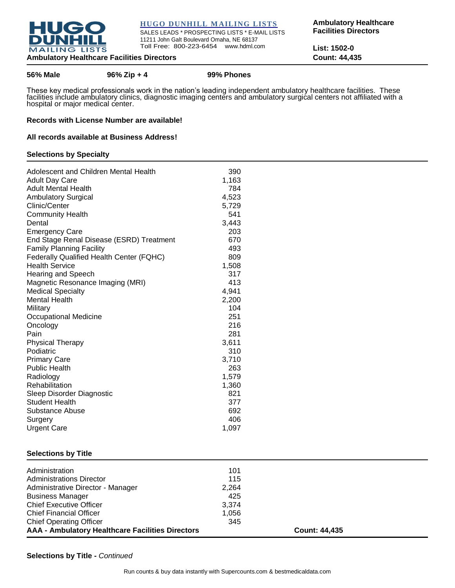

**HUGO DUNHILL MAILING LISTS**

SALES LEADS \* PROSPECTING LISTS \* E-MAIL LISTS 11211 John Galt Boulevard Omaha, NE 68137 Toll Free: 800-223-6454 www.hdml.com

**Ambulatory Healthcare Facilities Directors** 

**List: 1502-0**

### **Ambulatory Healthcare Facilities Directors Count: 44,435**

**56% Male 96% Zip + 4 99% Phones**

These key medical professionals work in the nation's leading independent ambulatory healthcare facilities. These facilities include ambulatory clinics, diagnostic imaging centers and ambulatory surgical centers not affiliated with a hospital or major medical center.

### **Records with License Number are available!**

### **All records available at Business Address!**

### **Selections by Specialty**

| Adolescent and Children Mental Health    | 390   |
|------------------------------------------|-------|
| <b>Adult Day Care</b>                    | 1,163 |
| <b>Adult Mental Health</b>               | 784   |
| <b>Ambulatory Surgical</b>               | 4,523 |
| Clinic/Center                            | 5,729 |
| <b>Community Health</b>                  | 541   |
| Dental                                   | 3,443 |
| <b>Emergency Care</b>                    | 203   |
| End Stage Renal Disease (ESRD) Treatment | 670   |
| <b>Family Planning Facility</b>          | 493   |
| Federally Qualified Health Center (FQHC) | 809   |
| <b>Health Service</b>                    | 1,508 |
| <b>Hearing and Speech</b>                | 317   |
| Magnetic Resonance Imaging (MRI)         | 413   |
| <b>Medical Specialty</b>                 | 4,941 |
| <b>Mental Health</b>                     | 2,200 |
| Military                                 | 104   |
| Occupational Medicine                    | 251   |
| Oncology                                 | 216   |
| Pain                                     | 281   |
| <b>Physical Therapy</b>                  | 3,611 |
| Podiatric                                | 310   |
| <b>Primary Care</b>                      | 3,710 |
| <b>Public Health</b>                     | 263   |
| Radiology                                | 1,579 |
| Rehabilitation                           | 1,360 |
| Sleep Disorder Diagnostic                | 821   |
| <b>Student Health</b>                    | 377   |
| <b>Substance Abuse</b>                   | 692   |
| Surgery                                  | 406   |
| <b>Urgent Care</b>                       | 1,097 |

### **Selections by Title**

| Administration                                          | 101   |                      |
|---------------------------------------------------------|-------|----------------------|
| <b>Administrations Director</b>                         | 115   |                      |
| Administrative Director - Manager                       | 2,264 |                      |
| <b>Business Manager</b>                                 | 425   |                      |
| <b>Chief Executive Officer</b>                          | 3.374 |                      |
| <b>Chief Financial Officer</b>                          | 1.056 |                      |
| <b>Chief Operating Officer</b>                          | 345   |                      |
| <b>AAA - Ambulatory Healthcare Facilities Directors</b> |       | <b>Count: 44,435</b> |

**Selections by Title -** *Continued*